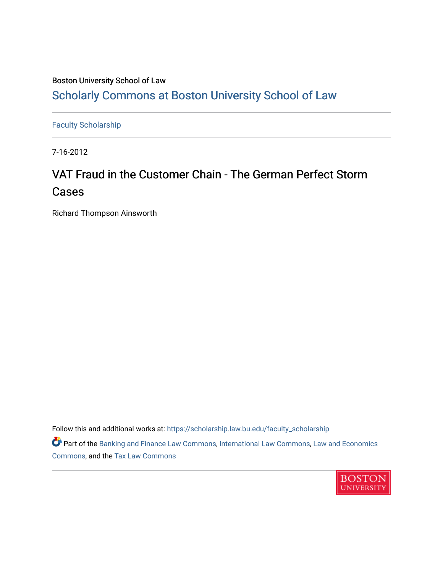# Boston University School of Law [Scholarly Commons at Boston University School of Law](https://scholarship.law.bu.edu/)

[Faculty Scholarship](https://scholarship.law.bu.edu/faculty_scholarship)

7-16-2012

# VAT Fraud in the Customer Chain - The German Perfect Storm Cases

Richard Thompson Ainsworth

Follow this and additional works at: [https://scholarship.law.bu.edu/faculty\\_scholarship](https://scholarship.law.bu.edu/faculty_scholarship?utm_source=scholarship.law.bu.edu%2Ffaculty_scholarship%2F1449&utm_medium=PDF&utm_campaign=PDFCoverPages)

Part of the [Banking and Finance Law Commons,](http://network.bepress.com/hgg/discipline/833?utm_source=scholarship.law.bu.edu%2Ffaculty_scholarship%2F1449&utm_medium=PDF&utm_campaign=PDFCoverPages) [International Law Commons,](http://network.bepress.com/hgg/discipline/609?utm_source=scholarship.law.bu.edu%2Ffaculty_scholarship%2F1449&utm_medium=PDF&utm_campaign=PDFCoverPages) [Law and Economics](http://network.bepress.com/hgg/discipline/612?utm_source=scholarship.law.bu.edu%2Ffaculty_scholarship%2F1449&utm_medium=PDF&utm_campaign=PDFCoverPages) [Commons](http://network.bepress.com/hgg/discipline/612?utm_source=scholarship.law.bu.edu%2Ffaculty_scholarship%2F1449&utm_medium=PDF&utm_campaign=PDFCoverPages), and the [Tax Law Commons](http://network.bepress.com/hgg/discipline/898?utm_source=scholarship.law.bu.edu%2Ffaculty_scholarship%2F1449&utm_medium=PDF&utm_campaign=PDFCoverPages)

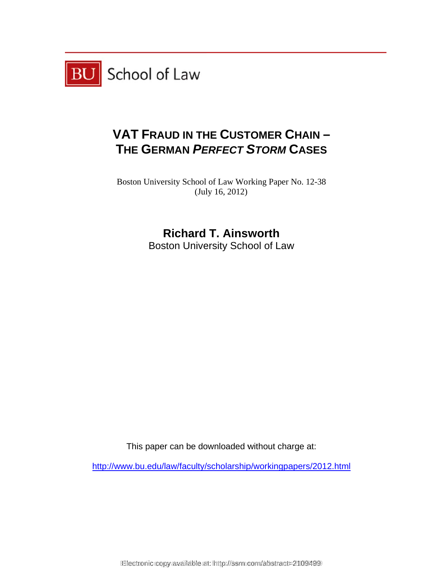

# **VAT FRAUD IN THE CUSTOMER CHAIN – T HE GER RMAN** *PE ERFECT S STORM* **CASES**

Boston University School of Law Working Paper No. 12-38 (Jul ly 16, 2012)

**R Richard T. Ainsw worth** 

Boston University School of Law

This paper can be downloaded without cha w<br>arge at:<br>

http://www.bu.edu/law/faculty/scholarship/workingpapers/2012.html

Electronic copy available at: http://ssrn.com/abstract=2109499 Electronic copy available at: https://ssrn.com/abstract=2109499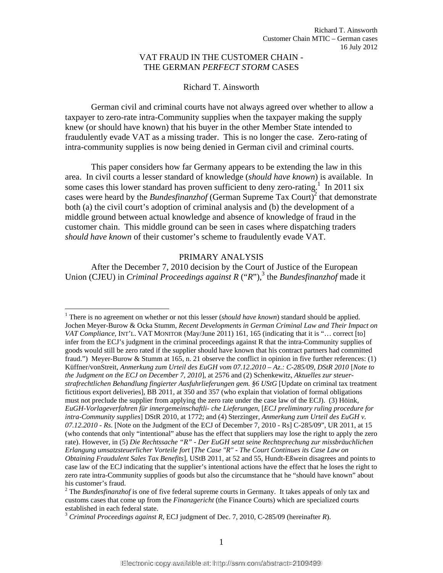# VAT FRAUD IN THE CUSTOMER CHAIN - THE GERMAN *PERFECT STORM* CASES

#### Richard T. Ainsworth

 German civil and criminal courts have not always agreed over whether to allow a taxpayer to zero-rate intra-Community supplies when the taxpayer making the supply knew (or should have known) that his buyer in the other Member State intended to fraudulently evade VAT as a missing trader. This is no longer the case. Zero-rating of intra-community supplies is now being denied in German civil and criminal courts.

 This paper considers how far Germany appears to be extending the law in this area. In civil courts a lesser standard of knowledge (*should have known*) is available. In some cases this lower standard has proven sufficient to deny zero-rating.<sup>1</sup> In 2011 six cases were heard by the *Bundesfinanzhof* (German Supreme Tax Court)<sup>2</sup> that demonstrate both (a) the civil court's adoption of criminal analysis and (b) the development of a middle ground between actual knowledge and absence of knowledge of fraud in the customer chain. This middle ground can be seen in cases where dispatching traders *should have known* of their customer's scheme to fraudulently evade VAT.

#### PRIMARY ANALYSIS

After the December 7, 2010 decision by the Court of Justice of the European Union (CJEU) in *Criminal Proceedings against R* ("*R*"),<sup>3</sup> the *Bundesfinanzhof* made it

<sup>&</sup>lt;sup>1</sup> There is no agreement on whether or not this lesser (*should have known*) standard should be applied. Jochen Meyer-Burow & Ocka Stumm, *Recent Developments in German Criminal Law and Their Impact on VAT Compliance,* INT'L. VAT MONITOR (May/June 2011) 161, 165 (indicating that it is "… correct [to] infer from the ECJ's judgment in the criminal proceedings against R that the intra-Community supplies of goods would still be zero rated if the supplier should have known that his contract partners had committed fraud.") Meyer-Burow & Stumm at 165, n. 21 observe the conflict in opinion in five further references:  $(1)$ Küffner/vonStreit, *Anmerkung zum Urteil des EuGH vom 07.12.2010 – Az.: C-285/09, DStR 2010* [*Note to the Judgment on the ECJ on December 7, 2010*], at 2576 and (2) Schenkewitz, *Aktuelles zur steuerstrafrechtlichen Behandlung fingierter Ausfuhrlieferungen gem. §6 UStG* [Update on criminal tax treatment fictitious export deliveries], BB 2011, at 350 and 357 (who explain that violation of formal obligations must not preclude the supplier from applying the zero rate under the case law of the ECJ). (3) Höink, *EuGH-Vorlageverfahren für innergemeinschaftli- che Lieferungen*, [*ECJ preliminary ruling procedure for intra-Community supplies*] DStR 2010, at 1772; and (4) Sterzinger, *Anmerkung zum Urteil des EuGH v. 07.12.2010 - Rs*. [Note on the Judgment of the ECJ of December 7, 2010 - Rs] C-285/09", UR 2011, at 15 (who contends that only "intentional" abuse has the effect that suppliers may lose the right to apply the zero rate). However, in (5) *Die Rechtssache "R" - Der EuGH setzt seine Rechtsprechung zur missbräuchlichen Erlangung umsatzsteuerlicher Vorteile fort* [*The Case "R" - The Court Continues its Case Law on Obtaining Fraudulent Sales Tax Benefits*], UStB 2011, at 52 and 55, Hundt-Eßwein disagrees and points to case law of the ECJ indicating that the supplier's intentional actions have the effect that he loses the right to zero rate intra-Community supplies of goods but also the circumstance that he "should have known" about his customer's fraud.

<sup>&</sup>lt;sup>2</sup> The *Bundesfinanzhof* is one of five federal supreme courts in Germany. It takes appeals of only tax and customs cases that come up from the *Finanzgericht* (the Finance Courts) which are specialized courts established in each federal state.

<sup>3</sup> *Criminal Proceedings against R*, ECJ judgment of Dec. 7, 2010, C-285/09 (hereinafter *R*).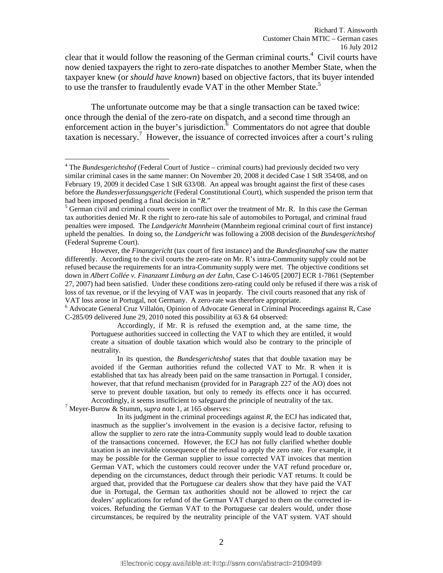clear that it would follow the reasoning of the German criminal courts.<sup>4</sup> Civil courts have now denied taxpayers the right to zero-rate dispatches to another Member State, when the taxpayer knew (or *should have known*) based on objective factors, that its buyer intended to use the transfer to fraudulently evade VAT in the other Member State.<sup>5</sup>

The unfortunate outcome may be that a single transaction can be taxed twice: once through the denial of the zero-rate on dispatch, and a second time through an enforcement action in the buyer's jurisdiction. $\delta$  Commentators do not agree that double taxation is necessary.<sup>7</sup> However, the issuance of corrected invoices after a court's ruling

However, the *Finanzgericht* (tax court of first instance) and the *Bundesfinanzhof* saw the matter differently. According to the civil courts the zero-rate on Mr. R's intra-Community supply could not be refused because the requirements for an intra-Community supply were met. The objective conditions set down in *Albert Collée v. Finanzamt Limburg an der Lahn,* Case C-146/05 [2007] ECR 1-7861 (September 27, 2007) had been satisfied. Under these conditions zero-rating could only be refused if there was a risk of loss of tax revenue, or if the levying of VAT was in jeopardy. The civil courts reasoned that any risk of VAT loss arose in Portugal, not Germany. A zero-rate was therefore appropriate. 6

<sup>&</sup>lt;sup>4</sup> The *Bundesgerichtshof* (Federal Court of Justice – criminal courts) had previously decided two very similar criminal cases in the same manner: On November 20, 2008 it decided Case 1 StR 354/08, and on February 19, 2009 it decided Case 1 StR 633/08. An appeal was brought against the first of these cases before the *Bundesverfassungsgericht* (Federal Constitutional Court), which suspended the prison term that had been imposed pending a final decision in "*R*." 5

 $<sup>5</sup>$  German civil and criminal courts were in conflict over the treatment of Mr. R. In this case the German</sup> tax authorities denied Mr. R the right to zero-rate his sale of automobiles to Portugal, and criminal fraud penalties were imposed. The *Landgericht Mannheim* (Mannheim regional criminal court of first instance) upheld the penalties. In doing so, the *Landgericht* was following a 2008 decision of the *Bundesgerichtshof* (Federal Supreme Court).

Advocate General Cruz Villalón, Opinion of Advocate General in Criminal Proceedings against R, Case C-285/09 delivered June 29, 2010 noted this possibility at 63 & 64 observed:

Accordingly, if Mr. R is refused the exemption and, at the same time, the Portuguese authorities succeed in collecting the VAT to which they are entitled, it would create a situation of double taxation which would also be contrary to the principle of neutrality.

In its question, the *Bundesgerichtshof* states that that double taxation may be avoided if the German authorities refund the collected VAT to Mr. R when it is established that tax has already been paid on the same transaction in Portugal. I consider, however, that that refund mechanism (provided for in Paragraph 227 of the AO) does not serve to prevent double taxation, but only to remedy its effects once it has occurred. Accordingly, it seems insufficient to safeguard the principle of neutrality of the tax. 7

Meyer-Burow & Stumm, *supra* note 1, at 165 observes:

In its judgment in the criminal proceedings against *R,* the ECJ has indicated that, inasmuch as the supplier's involvement in the evasion is a decisive factor, refusing to allow the supplier to zero rate the intra-Community supply would lead to double taxation of the transactions concerned. However, the ECJ has not fully clarified whether double taxation is an inevitable consequence of the refusal to apply the zero rate. For example, it may be possible for the German supplier to issue corrected VAT invoices that mention German VAT, which the customers could recover under the VAT refund procedure or, depending on the circumstances, deduct through their periodic VAT returns. It could be argued that, provided that the Portuguese car dealers show that they have paid the VAT due in Portugal, the German tax authorities should not be allowed to reject the car dealers' applications for refund of the German VAT charged to them on the corrected invoices. Refunding the German VAT to the Portuguese car dealers would, under those circumstances, be required by the neutrality principle of the VAT system. VAT should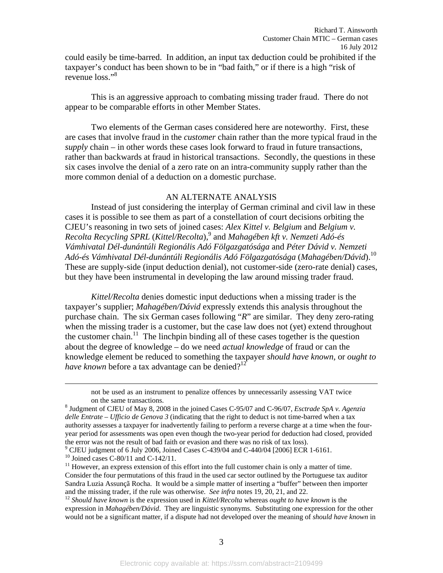could easily be time-barred. In addition, an input tax deduction could be prohibited if the taxpayer's conduct has been shown to be in "bad faith," or if there is a high "risk of revenue loss."<sup>8</sup>

This is an aggressive approach to combating missing trader fraud. There do not appear to be comparable efforts in other Member States.

 Two elements of the German cases considered here are noteworthy. First, these are cases that involve fraud in the *customer* chain rather than the more typical fraud in the *supply* chain – in other words these cases look forward to fraud in future transactions, rather than backwards at fraud in historical transactions. Secondly, the questions in these six cases involve the denial of a zero rate on an intra-community supply rather than the more common denial of a deduction on a domestic purchase.

### AN ALTERNATE ANALYSIS

Instead of just considering the interplay of German criminal and civil law in these cases it is possible to see them as part of a constellation of court decisions orbiting the CJEU's reasoning in two sets of joined cases: *Alex Kittel v. Belgium* and *Belgium v. Recolta Recycling SPRL* (*Kittel/Recolta*),9 and *Mahagében kft v. Nemzeti Adó-és Vámhivatal Dél-dunántúli Regionális Adó Fölgazgatósága* and *Péter Dávid v. Nemzeti Adó-és Vámhivatal Dél-dunántúli Regionális Adó Fölgazgatósága* (*Mahagében/Dávid*).<sup>10</sup> These are supply-side (input deduction denial), not customer-side (zero-rate denial) cases, but they have been instrumental in developing the law around missing trader fraud.

*Kittel/Recolta* denies domestic input deductions when a missing trader is the taxpayer's supplier; *Mahagében/Dávid* expressly extends this analysis throughout the purchase chain. The six German cases following "*R*" are similar. They deny zero-rating when the missing trader is a customer, but the case law does not (yet) extend throughout the customer chain.<sup>11</sup> The linchpin binding all of these cases together is the question about the degree of knowledge – do we need *actual knowledge* of fraud or can the knowledge element be reduced to something the taxpayer *should have known,* or *ought to have known* before a tax advantage can be denied?<sup>12</sup>

<sup>10</sup> Joined cases C-80/11 and C-142/11.

not be used as an instrument to penalize offences by unnecessarily assessing VAT twice on the same transactions. 8

<sup>&</sup>lt;sup>8</sup> Judgment of CJEU of May 8, 2008 in the joined Cases C-95/07 and C-96/07, *Esctrade SpA v. Agenzia delle Entrate – Ufficio de Genova 3* (indicating that the right to deduct is not time-barred when a tax authority assesses a taxpayer for inadvertently failing to perform a reverse charge at a time when the fouryear period for assessments was open even though the two-year period for deduction had closed, provided the error was not the result of bad faith or evasion and there was no risk of tax loss).

CJEU judgment of 6 July 2006, Joined Cases C-439/04 and C-440/04 [2006] ECR 1-6161.

<sup>&</sup>lt;sup>11</sup> However, an express extension of this effort into the full customer chain is only a matter of time. Consider the four permutations of this fraud in the used car sector outlined by the Portuguese tax auditor Sandra Luzia Assunçã Rocha. It would be a simple matter of inserting a "buffer" between then importer and the missing trader, if the rule was otherwise. See infra notes 19, 20, 21, and 22.

<sup>&</sup>lt;sup>12</sup> Should have known is the expression used in Kittel/Recolta whereas ought to have known is the expression in *Mahagében/Dávid*. They are linguistic synonyms. Substituting one expression for the other would not be a significant matter, if a dispute had not developed over the meaning of *should have known* in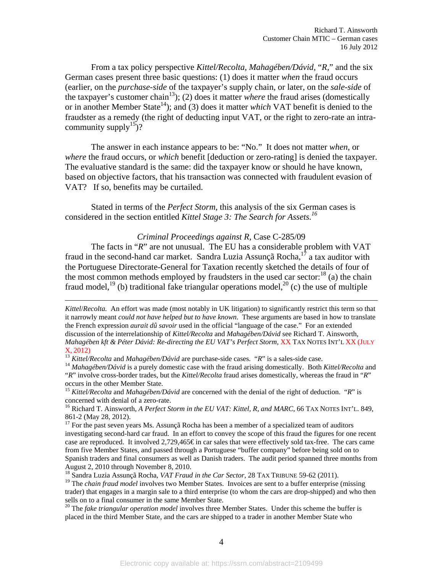From a tax policy perspective *Kittel/Recolta, Mahagében/Dávid,* "*R,*" and the six German cases present three basic questions: (1) does it matter *when* the fraud occurs (earlier, on the *purchase-side* of the taxpayer's supply chain, or later, on the *sale-side* of the taxpayer's customer chain<sup>13</sup>); (2) does it matter *where* the fraud arises (domestically or in another Member State<sup>14</sup>); and (3) does it matter *which* VAT benefit is denied to the fraudster as a remedy (the right of deducting input VAT, or the right to zero-rate an intracommunity supply<sup>15</sup>)?

The answer in each instance appears to be: "No." It does not matter *when*, or *where* the fraud occurs, or *which* benefit [deduction or zero-rating] is denied the taxpayer. The evaluative standard is the same: did the taxpayer know or should he have known, based on objective factors, that his transaction was connected with fraudulent evasion of VAT? If so, benefits may be curtailed.

 Stated in terms of the *Perfect Storm*, this analysis of the six German cases is considered in the section entitled *Kittel Stage 3: The Search for Assets.16*

### *Criminal Proceedings against R,* Case C-285/09

The facts in "*R*" are not unusual. The EU has a considerable problem with VAT fraud in the second-hand car market. Sandra Luzia Assunçã Rocha, $1^{\dagger}$  a tax auditor with the Portuguese Directorate-General for Taxation recently sketched the details of four of the most common methods employed by fraudsters in the used car sector: $^{18}$  (a) the chain fraud model,<sup>19</sup> (b) traditional fake triangular operations model,<sup>20</sup> (c) the use of multiple

 $\overline{a}$ 

"*R*" involve cross-border trades, but the *Kittel/Recolta* fraud arises domestically, whereas the fraud in "*R*" occurs in the other Member State.

<sup>15</sup> *Kittel/Recolta* and *Mahagében/Dávid* are concerned with the denial of the right of deduction. "R" is concerned with denial of a zero-rate.

<sup>16</sup> Richard T. Ainsworth, *A Perfect Storm in the EU VAT: Kittel, R, and MARC, 66 TAX NOTES INT'L. 849,* 861-2 (May 28, 2012).

 $17$  For the past seven years Ms. Assunçã Rocha has been a member of a specialized team of auditors investigating second-hard car fraud. In an effort to convey the scope of this fraud the figures for one recent case are reproduced. It involved 2,729,465€ in car sales that were effectively sold tax-free. The cars came from five Member States, and passed through a Portuguese "buffer company" before being sold on to Spanish traders and final consumers as well as Danish traders. The audit period spanned three months from August 2, 2010 through November 8, 2010.

18 Sandra Luzia Assunçã Rocha, *VAT Fraud in the Car Sector*, 28 TAX TRIBUNE 59-62 (2011).

<sup>19</sup> The *chain fraud model* involves two Member States. Invoices are sent to a buffer enterprise (missing trader) that engages in a margin sale to a third enterprise (to whom the cars are drop-shipped) and who then sells on to a final consumer in the same Member State. 20 The *fake triangular operation model* involves three Member States. Under this scheme the buffer is

placed in the third Member State, and the cars are shipped to a trader in another Member State who

*Kittel*/*Recolta.* An effort was made (most notably in UK litigation) to significantly restrict this term so that it narrowly meant *could not have helped but to have known*. These arguments are based in how to translate the French expression *aurait dû savoir* used in the official "language of the case." For an extended discussion of the interrelationship of *Kittel/Recolta* and *Mahagében/Dávid* see Richard T. Ainsworth, *Mahagében kft & Péter Dávid: Re-directing the EU VAT's Perfect Storm,* XX TAX NOTES INT'L XX (JULY  $X$ , 2012)<br><sup>13</sup> Kittel/Recolta and Mahagében/Dávid are purchase-side cases. "R" is a sales-side case.<br><sup>14</sup> Mahagében/Dávid is a purely domestic case with the fraud arising domestically. Both Kittel/Recolta and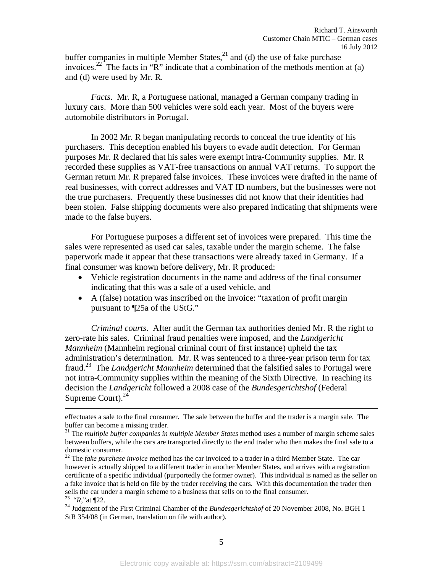buffer companies in multiple Member States, $^{21}$  and (d) the use of fake purchase invoices.<sup>22</sup> The facts in "R" indicate that a combination of the methods mention at (a) and (d) were used by Mr. R.

*Facts*. Mr. R, a Portuguese national, managed a German company trading in luxury cars. More than 500 vehicles were sold each year. Most of the buyers were automobile distributors in Portugal.

In 2002 Mr. R began manipulating records to conceal the true identity of his purchasers. This deception enabled his buyers to evade audit detection. For German purposes Mr. R declared that his sales were exempt intra-Community supplies. Mr. R recorded these supplies as VAT-free transactions on annual VAT returns. To support the German return Mr. R prepared false invoices. These invoices were drafted in the name of real businesses, with correct addresses and VAT ID numbers, but the businesses were not the true purchasers. Frequently these businesses did not know that their identities had been stolen. False shipping documents were also prepared indicating that shipments were made to the false buyers.

For Portuguese purposes a different set of invoices were prepared. This time the sales were represented as used car sales, taxable under the margin scheme. The false paperwork made it appear that these transactions were already taxed in Germany. If a final consumer was known before delivery, Mr. R produced:

- Vehicle registration documents in the name and address of the final consumer indicating that this was a sale of a used vehicle, and
- A (false) notation was inscribed on the invoice: "taxation of profit margin pursuant to ¶25a of the UStG."

*Criminal courts*. After audit the German tax authorities denied Mr. R the right to zero-rate his sales. Criminal fraud penalties were imposed, and the *Landgericht Mannheim* (Mannheim regional criminal court of first instance) upheld the tax administration's determination. Mr. R was sentenced to a three-year prison term for tax fraud.23 The *Landgericht Mannheim* determined that the falsified sales to Portugal were not intra-Community supplies within the meaning of the Sixth Directive. In reaching its decision the *Landgericht* followed a 2008 case of the *Bundesgerichtshof* (Federal Supreme Court). $^{24}$ 

effectuates a sale to the final consumer. The sale between the buffer and the trader is a margin sale. The buffer can become a missing trader.

<sup>21</sup> The *multiple buffer companies in multiple Member States* method uses a number of margin scheme sales between buffers, while the cars are transported directly to the end trader who then makes the final sale to a domestic consumer.

<sup>&</sup>lt;sup>22</sup> The *fake purchase invoice* method has the car invoiced to a trader in a third Member State. The car however is actually shipped to a different trader in another Member States, and arrives with a registration certificate of a specific individual (purportedly the former owner). This individual is named as the seller on a fake invoice that is held on file by the trader receiving the cars. With this documentation the trader then

<sup>&</sup>lt;sup>23</sup> "R,"at ¶22. <sup>23</sup> Judgment of the First Criminal Chamber of the *Bundesgerichtshof* of 20 November 2008, No. BGH 1 StR 354/08 (in German, translation on file with author).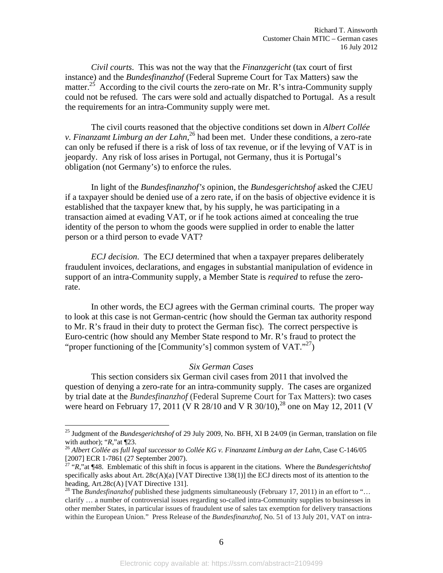*Civil courts*. This was not the way that the *Finanzgericht* (tax court of first instance) and the *Bundesfinanzhof* (Federal Supreme Court for Tax Matters) saw the matter.<sup>25</sup> According to the civil courts the zero-rate on Mr. R's intra-Community supply could not be refused. The cars were sold and actually dispatched to Portugal. As a result the requirements for an intra-Community supply were met.

The civil courts reasoned that the objective conditions set down in *Albert Collée v. Finanzamt Limburg an der Lahn*,<sup>26</sup> had been met. Under these conditions, a zero-rate can only be refused if there is a risk of loss of tax revenue, or if the levying of VAT is in jeopardy. Any risk of loss arises in Portugal, not Germany, thus it is Portugal's obligation (not Germany's) to enforce the rules.

In light of the *Bundesfinanzhof's* opinion, the *Bundesgerichtshof* asked the CJEU if a taxpayer should be denied use of a zero rate, if on the basis of objective evidence it is established that the taxpayer knew that, by his supply, he was participating in a transaction aimed at evading VAT, or if he took actions aimed at concealing the true identity of the person to whom the goods were supplied in order to enable the latter person or a third person to evade VAT?

*ECJ decision*. The ECJ determined that when a taxpayer prepares deliberately fraudulent invoices, declarations, and engages in substantial manipulation of evidence in support of an intra-Community supply, a Member State is *required* to refuse the zerorate.

In other words, the ECJ agrees with the German criminal courts. The proper way to look at this case is not German-centric (how should the German tax authority respond to Mr. R's fraud in their duty to protect the German fisc). The correct perspective is Euro-centric (how should any Member State respond to Mr. R's fraud to protect the "proper functioning of the [Community's] common system of  $VAT.^{27}$ ]

# *Six German Cases*

This section considers six German civil cases from 2011 that involved the question of denying a zero-rate for an intra-community supply. The cases are organized by trial date at the *Bundesfinanzhof* (Federal Supreme Court for Tax Matters): two cases were heard on February 17, 2011 (V R 28/10 and V R 30/10),<sup>28</sup> one on May 12, 2011 (V

<sup>25</sup> Judgment of the *Bundesgerichtshof* of 29 July 2009, No. BFH, XI B 24/09 (in German, translation on file with author); "*R*," at ¶23.<br><sup>26</sup> *Albert Collée as full legal successor to Collée KG v. Finanzamt Limburg an der Lahn, Case C-146/05* 

<sup>[2007]</sup> ECR 1-7861 (27 September 2007).

<sup>27 &</sup>quot;*R*,"at ¶48. Emblematic of this shift in focus is apparent in the citations. Where the *Bundesgerichtshof* specifically asks about Art.  $28c(A)(a)$  [VAT Directive 138(1)] the ECJ directs most of its attention to the heading, Art.28c(A) [VAT Directive 131].<br><sup>28</sup> The *Bundesfinanzhof* published these judgments simultaneously (February 17, 2011) in an effort to "...

clarify … a number of controversial issues regarding so-called intra-Community supplies to businesses in other member States, in particular issues of fraudulent use of sales tax exemption for delivery transactions within the European Union." Press Release of the *Bundesfinanzhof*, No. 51 of 13 July 201, VAT on intra-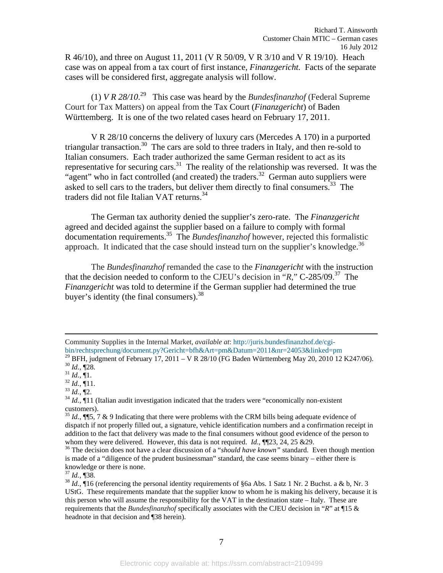R 46/10), and three on August 11, 2011 (V R 50/09, V R 3/10 and V R 19/10). Heach case was on appeal from a tax court of first instance, *Finanzgericht.* Facts of the separate cases will be considered first, aggregate analysis will follow.

(1) *V R 28/10*<sup>29</sup> This case was heard by the *Bundesfinanzhof* (Federal Supreme Court for Tax Matters) on appeal from the Tax Court (*Finanzgericht*) of Baden Württemberg. It is one of the two related cases heard on February 17, 2011.

V R 28/10 concerns the delivery of luxury cars (Mercedes A 170) in a purported triangular transaction.<sup>30</sup> The cars are sold to three traders in Italy, and then re-sold to Italian consumers. Each trader authorized the same German resident to act as its representative for securing cars.<sup>31</sup> The reality of the relationship was reversed. It was the "agent" who in fact controlled (and created) the traders.<sup>32</sup> German auto suppliers were asked to sell cars to the traders, but deliver them directly to final consumers.<sup>33</sup> The traders did not file Italian VAT returns.34

The German tax authority denied the supplier's zero-rate. The *Finanzgericht* agreed and decided against the supplier based on a failure to comply with formal documentation requirements.35 The *Bundesfinanzhof* however, rejected this formalistic approach. It indicated that the case should instead turn on the supplier's knowledge. $36$ 

The *Bundesfinanzhof* remanded the case to the *Finanzgericht* with the instruction that the decision needed to conform to the CJEU's decision in "*R*," C-285/09.37 The *Finanzgericht* was told to determine if the German supplier had determined the true buyer's identity (the final consumers).  $38$ 

Community Supplies in the Internal Market, *available at*: http://juris.bundesfinanzhof.de/cgi-

bin/rechtsprechung/document.py?Gericht=bfh&Art=pm&Datum=2011&nr=24053&linked=pm<br><sup>29</sup> BFH, judgment of February 17, 2011 – V R 28/10 (FG Baden Württemberg May 20, 2010 12 K247/06).<br><sup>30</sup> *Id.*, ¶28.<br><sup>31</sup> *Id.*, ¶11.<br><sup>32</sup> *I* 

customers).

 $35$  *Id.*,  $\P$ [5, 7 & 9 Indicating that there were problems with the CRM bills being adequate evidence of dispatch if not properly filled out, a signature, vehicle identification numbers and a confirmation receipt in addition to the fact that delivery was made to the final consumers without good evidence of the person to whom they were delivered. However, this data is not required. *Id.*, ¶¶23, 24, 25 & 29.<br><sup>36</sup> The decision does not have a clear discussion of a "*should have known*" standard. Even though mention

is made of a "diligence of the prudent businessman" standard, the case seems binary – either there is knowledge or there is none.<br> $^{37}$  *Id.*, ¶38.

 $38$  *Id.*, ¶16 (referencing the personal identity requirements of §6a Abs. 1 Satz 1 Nr. 2 Buchst. a & b, Nr. 3 UStG. These requirements mandate that the supplier know to whom he is making his delivery, because it is this person who will assume the responsibility for the VAT in the destination state – Italy. These are requirements that the *Bundesfinanzhof* specifically associates with the CJEU decision in "*R*" at ¶15 & headnote in that decision and ¶38 herein).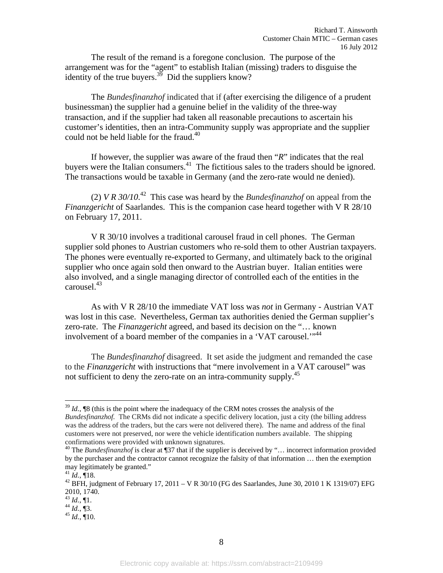The result of the remand is a foregone conclusion. The purpose of the arrangement was for the "agent" to establish Italian (missing) traders to disguise the identity of the true buyers. $^{39}$  Did the suppliers know?

The *Bundesfinanzhof* indicated that if (after exercising the diligence of a prudent businessman) the supplier had a genuine belief in the validity of the three-way transaction, and if the supplier had taken all reasonable precautions to ascertain his customer's identities, then an intra-Community supply was appropriate and the supplier could not be held liable for the fraud.<sup>40</sup>

If however, the supplier was aware of the fraud then "*R*" indicates that the real buyers were the Italian consumers.<sup>41</sup> The fictitious sales to the traders should be ignored. The transactions would be taxable in Germany (and the zero-rate would ne denied).

(2) *V R 30/10*. 42 This case was heard by the *Bundesfinanzhof* on appeal from the *Finanzgericht* of Saarlandes. This is the companion case heard together with V R 28/10 on February 17, 2011.

 V R 30/10 involves a traditional carousel fraud in cell phones. The German supplier sold phones to Austrian customers who re-sold them to other Austrian taxpayers. The phones were eventually re-exported to Germany, and ultimately back to the original supplier who once again sold then onward to the Austrian buyer. Italian entities were also involved, and a single managing director of controlled each of the entities in the carousel.43

As with V R 28/10 the immediate VAT loss was *not* in Germany - Austrian VAT was lost in this case. Nevertheless, German tax authorities denied the German supplier's zero-rate. The *Finanzgericht* agreed, and based its decision on the "… known involvement of a board member of the companies in a 'VAT carousel.'"<sup>44</sup>

The *Bundesfinanzhof* disagreed. It set aside the judgment and remanded the case to the *Finanzgericht* with instructions that "mere involvement in a VAT carousel" was not sufficient to deny the zero-rate on an intra-community supply.45

<sup>39</sup> *Id.*, ¶8 (this is the point where the inadequacy of the CRM notes crosses the analysis of the *Bundesfinanzhof.* The CRMs did not indicate a specific delivery location, just a city (the billing address was the address of the traders, but the cars were not delivered there). The name and address of the final customers were not preserved, nor were the vehicle identification numbers available. The shipping

<sup>&</sup>lt;sup>40</sup> The *Bundesfinanzhof* is clear at ¶37 that if the supplier is deceived by "… incorrect information provided by the purchaser and the contractor cannot recognize the falsity of that information … then the exemption may legitimately be granted."<br> $^{41}$  *Id.*, ¶18.

 $42$  BFH, judgment of February 17, 2011 – V R 30/10 (FG des Saarlandes, June 30, 2010 1 K 1319/07) EFG 2010, 1740.<br> $^{43}$  *Id.*, ¶1.

 $\frac{44}{4}$  *Id.*, **[3.**<br>  $\frac{45}{45}$  *Id.*, **[10.**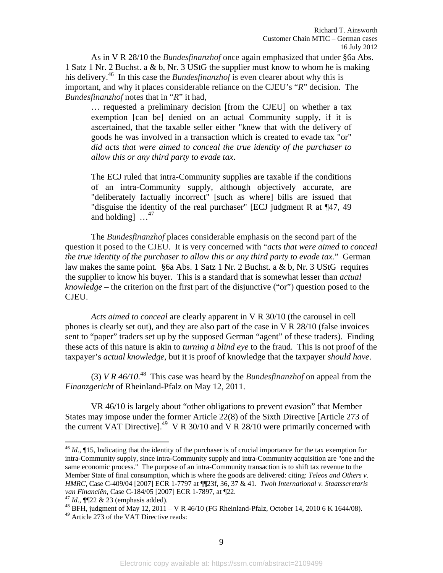As in V R 28/10 the *Bundesfinanzhof* once again emphasized that under §6a Abs. 1 Satz 1 Nr. 2 Buchst. a & b, Nr. 3 UStG the supplier must know to whom he is making his delivery.<sup>46</sup> In this case the *Bundesfinanzhof* is even clearer about why this is important, and why it places considerable reliance on the CJEU's "*R*" decision. The *Bundesfinanzhof* notes that in "*R*" it had,

… requested a preliminary decision [from the CJEU] on whether a tax exemption [can be] denied on an actual Community supply, if it is ascertained, that the taxable seller either "knew that with the delivery of goods he was involved in a transaction which is created to evade tax "or" *did acts that were aimed to conceal the true identity of the purchaser to allow this or any third party to evade tax*.

The ECJ ruled that intra-Community supplies are taxable if the conditions of an intra-Community supply, although objectively accurate, are "deliberately factually incorrect" [such as where] bills are issued that "disguise the identity of the real purchaser" [ECJ judgment R at ¶47, 49 and holding  $1^{47}$ 

 The *Bundesfinanzhof* places considerable emphasis on the second part of the question it posed to the CJEU. It is very concerned with "*acts that were aimed to conceal the true identity of the purchaser to allow this or any third party to evade tax.*" German law makes the same point. §6a Abs. 1 Satz 1 Nr. 2 Buchst. a & b, Nr. 3 UStG requires the supplier to know his buyer. This is a standard that is somewhat lesser than *actual knowledge* – the criterion on the first part of the disjunctive ("or") question posed to the CJEU.

*Acts aimed to conceal* are clearly apparent in V R 30/10 (the carousel in cell phones is clearly set out), and they are also part of the case in V R 28/10 (false invoices sent to "paper" traders set up by the supposed German "agent" of these traders). Finding these acts of this nature is akin to *turning a blind eye* to the fraud. This is not proof of the taxpayer's *actual knowledge*, but it is proof of knowledge that the taxpayer *should have*.

(3) *V R 46/10*<sup>48</sup> This case was heard by the *Bundesfinanzhof* on appeal from the *Finanzgericht* of Rheinland-Pfalz on May 12, 2011.

VR 46/10 is largely about "other obligations to prevent evasion" that Member States may impose under the former Article 22(8) of the Sixth Directive [Article 273 of the current VAT Directive].<sup>49</sup> V R 30/10 and V R 28/10 were primarily concerned with

<sup>46</sup> *Id.*, ¶15, Indicating that the identity of the purchaser is of crucial importance for the tax exemption for intra-Community supply, since intra-Community supply and intra-Community acquisition are "one and the same economic process." The purpose of an intra-Community transaction is to shift tax revenue to the Member State of final consumption, which is where the goods are delivered: citing: *Teleos and Others v. HMRC*, Case C-409/04 [2007] ECR 1-7797 at ¶¶23f, 36, 37 & 41. *Twoh International v. Staatsscretaris van Financiën*, Case C-184/05 [2007] ECR 1-7897, at ¶22.<br><sup>47</sup> *Id.*, ¶¶22 & 23 (emphasis added).<br><sup>48</sup> BFH, judgment of May 12, 2011 – V R 46/10 (FG Rheinland-Pfalz, October 14, 2010 6 K 1644/08).

<sup>49</sup> Article 273 of the VAT Directive reads: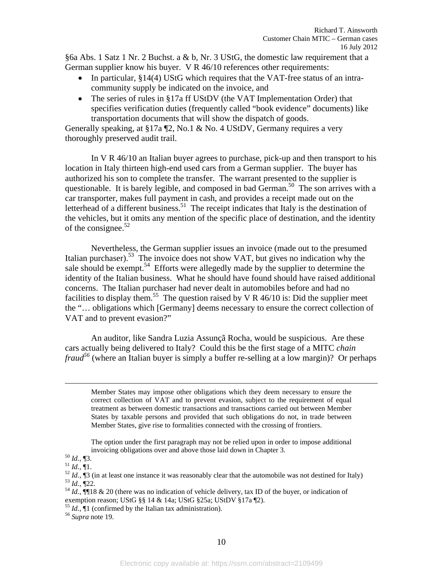§6a Abs. 1 Satz 1 Nr. 2 Buchst. a & b, Nr. 3 UStG, the domestic law requirement that a German supplier know his buyer. V R 46/10 references other requirements:

- In particular, §14(4) UStG which requires that the VAT-free status of an intracommunity supply be indicated on the invoice, and
- The series of rules in §17a ff UStDV (the VAT Implementation Order) that specifies verification duties (frequently called "book evidence" documents) like transportation documents that will show the dispatch of goods.

Generally speaking, at  $\S17a$  [2, No.1 & No. 4 UStDV, Germany requires a very thoroughly preserved audit trail.

In V R 46/10 an Italian buyer agrees to purchase, pick-up and then transport to his location in Italy thirteen high-end used cars from a German supplier. The buyer has authorized his son to complete the transfer. The warrant presented to the supplier is questionable. It is barely legible, and composed in bad German.<sup>50</sup> The son arrives with a car transporter, makes full payment in cash, and provides a receipt made out on the letterhead of a different business.<sup>51</sup> The receipt indicates that Italy is the destination of the vehicles, but it omits any mention of the specific place of destination, and the identity of the consignee. $52$ 

Nevertheless, the German supplier issues an invoice (made out to the presumed Italian purchaser).<sup>53</sup> The invoice does not show VAT, but gives no indication why the sale should be exempt.<sup>54</sup> Efforts were allegedly made by the supplier to determine the identity of the Italian business. What he should have found should have raised additional concerns. The Italian purchaser had never dealt in automobiles before and had no facilities to display them.<sup>55</sup> The question raised by V R  $46/10$  is: Did the supplier meet the "… obligations which [Germany] deems necessary to ensure the correct collection of VAT and to prevent evasion?"

An auditor, like Sandra Luzia Assunçã Rocha, would be suspicious. Are these cars actually being delivered to Italy? Could this be the first stage of a MITC *chain fraud*<sup>56</sup> (where an Italian buyer is simply a buffer re-selling at a low margin)? Or perhaps

Member States may impose other obligations which they deem necessary to ensure the correct collection of VAT and to prevent evasion, subject to the requirement of equal treatment as between domestic transactions and transactions carried out between Member States by taxable persons and provided that such obligations do not, in trade between Member States, give rise to formalities connected with the crossing of frontiers.

The option under the first paragraph may not be relied upon in order to impose additional

- exemption reason; UStG §§ 14 & 14a; UStG §25a; UStDV §17a ¶2).
- <sup>55</sup> *Id.*, ¶1 (confirmed by the Italian tax administration). 56 *Supra* note 19.
- 

invoicing obligations over and above those laid down in Chapter 3.<br><sup>50</sup> *Id.*, ¶3.<br><sup>51</sup> *Id.*, ¶1.<br><sup>52</sup> *Id.*, ¶3 (in at least one instance it was reasonably clear that the automobile was not destined for Italy)<br><sup>53</sup> *Id.*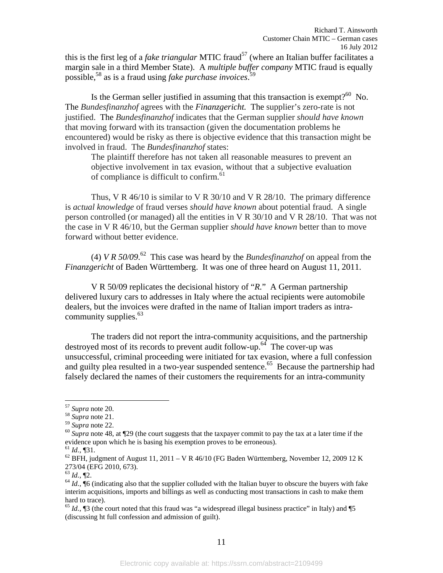this is the first leg of a *fake triangular* MTIC fraud<sup>57</sup> (where an Italian buffer facilitates a margin sale in a third Member State). A *multiple buffer company* MTIC fraud is equally possible,58 as is a fraud using *fake purchase invoices*. 59

Is the German seller justified in assuming that this transaction is exempt?<sup>60</sup> No. The *Bundesfinanzhof* agrees with the *Finanzgericht.* The supplier's zero-rate is not justified. The *Bundesfinanzhof* indicates that the German supplier *should have known* that moving forward with its transaction (given the documentation problems he encountered) would be risky as there is objective evidence that this transaction might be involved in fraud. The *Bundesfinanzhof* states:

The plaintiff therefore has not taken all reasonable measures to prevent an objective involvement in tax evasion, without that a subjective evaluation of compliance is difficult to confirm.<sup>61</sup>

Thus, V R 46/10 is similar to V R 30/10 and V R 28/10. The primary difference is *actual knowledge* of fraud verses *should have known* about potential fraud. A single person controlled (or managed) all the entities in V R 30/10 and V R 28/10. That was not the case in V R 46/10, but the German supplier *should have known* better than to move forward without better evidence.

(4) *V R 50/09*.<sup>62</sup> This case was heard by the *Bundesfinanzhof* on appeal from the *Finanzgericht* of Baden Württemberg. It was one of three heard on August 11, 2011.

 V R 50/09 replicates the decisional history of "*R.*" A German partnership delivered luxury cars to addresses in Italy where the actual recipients were automobile dealers, but the invoices were drafted in the name of Italian import traders as intracommunity supplies. $63$ 

 The traders did not report the intra-community acquisitions, and the partnership destroyed most of its records to prevent audit follow-up.<sup>64</sup> The cover-up was unsuccessful, criminal proceeding were initiated for tax evasion, where a full confession and guilty plea resulted in a two-year suspended sentence.<sup>65</sup> Because the partnership had falsely declared the names of their customers the requirements for an intra-community

<sup>&</sup>lt;sup>57</sup> Supra note 20.

 $\frac{58}{59}$  *Supra* note 21.<br> $\frac{59}{59}$  *Supra* note 22.

<sup>&</sup>lt;sup>60</sup> Supra note 48, at ¶29 (the court suggests that the taxpayer commit to pay the tax at a later time if the evidence upon which he is basing his exemption proves to be erroneous).<br><sup>61</sup> *Id.*, ¶31.

 $^{62}$  BFH, judgment of August 11, 2011 – V R 46/10 (FG Baden Württemberg, November 12, 2009 12 K 273/04 (EFG 2010, 673).<br><sup>63</sup> Id., ¶2.

 $64$  *Id.*,  $\overline{0}6$  (indicating also that the supplier colluded with the Italian buyer to obscure the buyers with fake interim acquisitions, imports and billings as well as conducting most transactions in cash to make them hard to trace).

 $65$  *Id.*,  $\sqrt{3}$  (the court noted that this fraud was "a widespread illegal business practice" in Italy) and  $\sqrt{5}$ (discussing ht full confession and admission of guilt).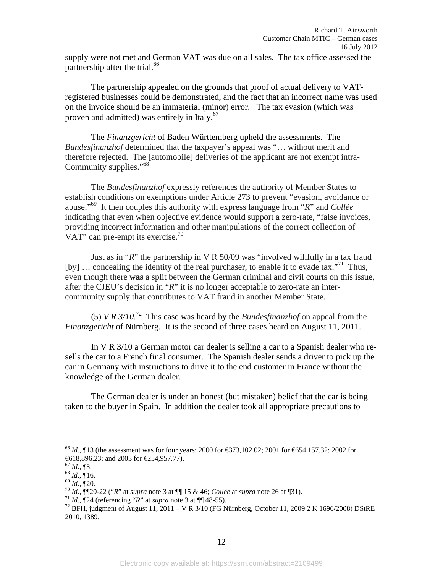supply were not met and German VAT was due on all sales. The tax office assessed the partnership after the trial.<sup>66</sup>

The partnership appealed on the grounds that proof of actual delivery to VATregistered businesses could be demonstrated, and the fact that an incorrect name was used on the invoice should be an immaterial (minor) error. The tax evasion (which was proven and admitted) was entirely in Italy.<sup>67</sup>

The *Finanzgericht* of Baden Württemberg upheld the assessments. The *Bundesfinanzhof* determined that the taxpayer's appeal was "… without merit and therefore rejected. The [automobile] deliveries of the applicant are not exempt intra-Community supplies."<sup>68</sup>

The *Bundesfinanzhof* expressly references the authority of Member States to establish conditions on exemptions under Article 273 to prevent "evasion, avoidance or abuse."69 It then couples this authority with express language from "*R*" and *Collée* indicating that even when objective evidence would support a zero-rate, "false invoices, providing incorrect information and other manipulations of the correct collection of VAT" can pre-empt its exercise. $^{70}$ 

Just as in "*R*" the partnership in V R 50/09 was "involved willfully in a tax fraud [by] ... concealing the identity of the real purchaser, to enable it to evade tax."<sup>71</sup> Thus, even though there **was** a split between the German criminal and civil courts on this issue, after the CJEU's decision in "*R*" it is no longer acceptable to zero-rate an intercommunity supply that contributes to VAT fraud in another Member State.

(5) *V R 3/10*. 72 This case was heard by the *Bundesfinanzhof* on appeal from the *Finanzgericht* of Nürnberg. It is the second of three cases heard on August 11, 2011.

 In V R 3/10 a German motor car dealer is selling a car to a Spanish dealer who resells the car to a French final consumer. The Spanish dealer sends a driver to pick up the car in Germany with instructions to drive it to the end customer in France without the knowledge of the German dealer.

The German dealer is under an honest (but mistaken) belief that the car is being taken to the buyer in Spain. In addition the dealer took all appropriate precautions to

1

<sup>66</sup> *Id.*, ¶13 (the assessment was for four years: 2000 for €373,102.02; 2001 for €654,157.32; 2002 for €618,896.23; and 2003 for €254,957.77).<br><sup>67</sup> Id., ¶3.

<sup>&</sup>lt;sup>68</sup> *Id.*, 16.<br>
<sup>69</sup> *Id.*, 116.<br>
<sup>70</sup> *Id.*, 120.<br>
<sup>70</sup> *Id.*, 1120-22 ("*R*" at *supra* note 3 at 11 15 & 46; *Collée* at *supra* note 26 at 131).<br>
<sup>71</sup> *Id.*, 124 (referencing "*R*" at *supra* note 3 at 11 48-55).<br>
<sup>7</sup> 2010, 1389.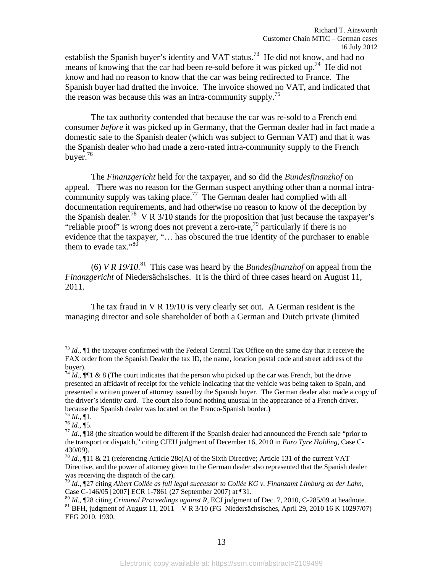establish the Spanish buyer's identity and VAT status.<sup>73</sup> He did not know, and had no means of knowing that the car had been re-sold before it was picked up.<sup>74</sup> He did not know and had no reason to know that the car was being redirected to France. The Spanish buyer had drafted the invoice. The invoice showed no VAT, and indicated that the reason was because this was an intra-community supply.<sup>75</sup>

The tax authority contended that because the car was re-sold to a French end consumer *before* it was picked up in Germany, that the German dealer had in fact made a domestic sale to the Spanish dealer (which was subject to German VAT) and that it was the Spanish dealer who had made a zero-rated intra-community supply to the French buyer.76

 The *Finanzgericht* held for the taxpayer, and so did the *Bundesfinanzhof* on appeal*.* There was no reason for the German suspect anything other than a normal intracommunity supply was taking place.<sup>77</sup> The German dealer had complied with all documentation requirements, and had otherwise no reason to know of the deception by the Spanish dealer.<sup>78</sup> V R  $3/10$  stands for the proposition that just because the taxpayer's "reliable proof" is wrong does not prevent a zero-rate,<sup>79</sup> particularly if there is no evidence that the taxpayer, "… has obscured the true identity of the purchaser to enable them to evade tax." $80$ 

(6) *V R 19/10*.<sup>81</sup> This case was heard by the *Bundesfinanzhof* on appeal from the *Finanzgericht* of Niedersächsisches. It is the third of three cases heard on August 11, 2011.

 The tax fraud in V R 19/10 is very clearly set out. A German resident is the managing director and sole shareholder of both a German and Dutch private (limited

1

 $^{73}$  *Id.*,  $\llbracket$ 1 the taxpayer confirmed with the Federal Central Tax Office on the same day that it receive the FAX order from the Spanish Dealer the tax ID, the name, location postal code and street address of the buyer).

<sup>&</sup>lt;sup>74</sup> *Id.*,  $\P\P$ 1 & 8 (The court indicates that the person who picked up the car was French, but the drive presented an affidavit of receipt for the vehicle indicating that the vehicle was being taken to Spain, and presented a written power of attorney issued by the Spanish buyer. The German dealer also made a copy of the driver's identity card. The court also found nothing unusual in the appearance of a French driver,

because the Spanish dealer was located on the Franco-Spanish border.)<br>
<sup>75</sup> *Id.*, ¶1.<br>
<sup>76</sup> *Id.*, ¶5.<br>
<sup>77</sup> *Id.*, ¶18 (the situation would be different if the Spanish dealer had announced the French sale "prior to the transport or dispatch," citing CJEU judgment of December 16, 2010 in *Euro Tyre Holding*, Case C-430/09).

<sup>78</sup> *Id.*, ¶11 & 21 (referencing Article 28c(A) of the Sixth Directive; Article 131 of the current VAT Directive, and the power of attorney given to the German dealer also represented that the Spanish dealer was receiving the dispatch of the car).

<sup>79</sup> *Id.*, ¶27 citing *Albert Collée as full legal successor to Collée KG v. Finanzamt Limburg an der Lahn,*  Case C-146/05 [2007] ECR 1-7861 (27 September 2007) at ¶31.<br><sup>80</sup> *Id.*, ¶28 citing *Criminal Proceedings against R*, ECJ judgment of Dec. 7, 2010, C-285/09 at headnote.

<sup>&</sup>lt;sup>81</sup> BFH, judgment of August 11, 2011 – V R 3/10 (FG Niedersächsisches, April 29, 2010 16 K 10297/07) EFG 2010, 1930.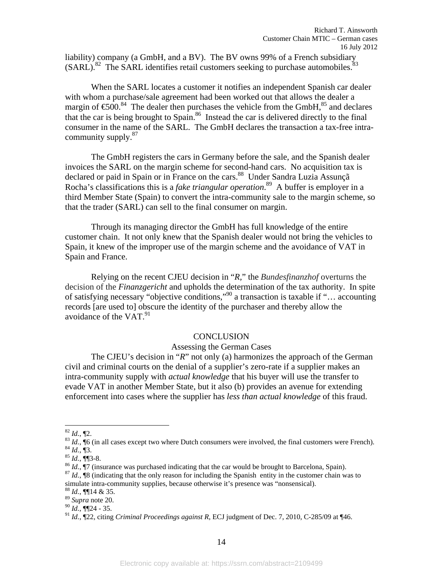liability) company (a GmbH, and a BV). The BV owns 99% of a French subsidiary  $(SARL)$ <sup>82</sup> The SARL identifies retail customers seeking to purchase automobiles.<sup>83</sup>

 When the SARL locates a customer it notifies an independent Spanish car dealer with whom a purchase/sale agreement had been worked out that allows the dealer a margin of  $\text{\textsterling}00$ <sup>84</sup>. The dealer then purchases the vehicle from the GmbH,<sup>85</sup> and declares that the car is being brought to Spain.<sup>86</sup> Instead the car is delivered directly to the final consumer in the name of the SARL. The GmbH declares the transaction a tax-free intracommunity supply.<sup>87</sup>

 The GmbH registers the cars in Germany before the sale, and the Spanish dealer invoices the SARL on the margin scheme for second-hand cars. No acquisition tax is declared or paid in Spain or in France on the cars.<sup>88</sup> Under Sandra Luzia Assunçã Rocha's classifications this is a *fake triangular operation*. 89 A buffer is employer in a third Member State (Spain) to convert the intra-community sale to the margin scheme, so that the trader (SARL) can sell to the final consumer on margin.

 Through its managing director the GmbH has full knowledge of the entire customer chain. It not only knew that the Spanish dealer would not bring the vehicles to Spain, it knew of the improper use of the margin scheme and the avoidance of VAT in Spain and France.

 Relying on the recent CJEU decision in "*R,*" the *Bundesfinanzhof* overturns the decision of the *Finanzgericht* and upholds the determination of the tax authority. In spite of satisfying necessary "objective conditions,"90 a transaction is taxable if "… accounting records [are used to] obscure the identity of the purchaser and thereby allow the avoidance of the  $VAT$ <sup>91</sup>

#### **CONCLUSION**

### Assessing the German Cases

The CJEU's decision in "*R*" not only (a) harmonizes the approach of the German civil and criminal courts on the denial of a supplier's zero-rate if a supplier makes an intra-community supply with *actual knowledge* that his buyer will use the transfer to evade VAT in another Member State, but it also (b) provides an avenue for extending enforcement into cases where the supplier has *less than actual knowledge* of this fraud.

1

<sup>&</sup>lt;sup>82</sup> *Id.*, ¶2.<br><sup>83</sup> *Id.*, ¶6 (in all cases except two where Dutch consumers were involved, the final customers were French).<br><sup>84</sup> *Id.*, ¶3.<br><sup>85</sup> *Id.*, ¶3-8.<br><sup>86</sup> *Id.*, ¶7 (insurance was purchased indicating that the

simulate intra-community supplies, because otherwise it's presence was "nonsensical). <sup>88</sup> *Id.*, **¶**[14 & 35.

<sup>89</sup> *Supra* note 20.

<sup>90</sup> *Id.*, ¶¶24 - 35.

<sup>91</sup> *Id.*, ¶22, citing *Criminal Proceedings against R*, ECJ judgment of Dec. 7, 2010, C-285/09 at ¶46.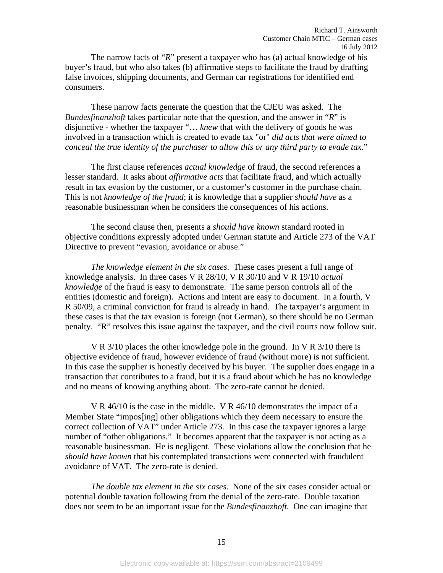The narrow facts of "*R*" present a taxpayer who has (a) actual knowledge of his buyer's fraud, but who also takes (b) affirmative steps to facilitate the fraud by drafting false invoices, shipping documents, and German car registrations for identified end consumers.

These narrow facts generate the question that the CJEU was asked. The *Bundesfinanzhoft* takes particular note that the question, and the answer in "*R*" is disjunctive - whether the taxpayer "… *knew* that with the delivery of goods he was involved in a transaction which is created to evade tax "or" *did acts that were aimed to conceal the true identity of the purchaser to allow this or any third party to evade tax*."

The first clause references *actual knowledge* of fraud, the second references a lesser standard. It asks about *affirmative acts* that facilitate fraud, and which actually result in tax evasion by the customer, or a customer's customer in the purchase chain. This is not *knowledge of the fraud*; it is knowledge that a supplier *should have* as a reasonable businessman when he considers the consequences of his actions.

The second clause then, presents a *should have known* standard rooted in objective conditions expressly adopted under German statute and Article 273 of the VAT Directive to prevent "evasion, avoidance or abuse."

*The knowledge element in the six cases*. These cases present a full range of knowledge analysis. In three cases V R 28/10, V R 30/10 and V R 19/10 *actual knowledge* of the fraud is easy to demonstrate. The same person controls all of the entities (domestic and foreign). Actions and intent are easy to document. In a fourth, V R 50/09, a criminal conviction for fraud is already in hand. The taxpayer's argument in these cases is that the tax evasion is foreign (not German), so there should be no German penalty. "R" resolves this issue against the taxpayer, and the civil courts now follow suit.

V R 3/10 places the other knowledge pole in the ground. In V R 3/10 there is objective evidence of fraud, however evidence of fraud (without more) is not sufficient. In this case the supplier is honestly deceived by his buyer. The supplier does engage in a transaction that contributes to a fraud, but it is a fraud about which he has no knowledge and no means of knowing anything about. The zero-rate cannot be denied.

V R 46/10 is the case in the middle. V R 46/10 demonstrates the impact of a Member State "impos[ing] other obligations which they deem necessary to ensure the correct collection of VAT" under Article 273. In this case the taxpayer ignores a large number of "other obligations." It becomes apparent that the taxpayer is not acting as a reasonable businessman. He is negligent. These violations allow the conclusion that he *should have known* that his contemplated transactions were connected with fraudulent avoidance of VAT. The zero-rate is denied.

*The double tax element in the six cases*. None of the six cases consider actual or potential double taxation following from the denial of the zero-rate. Double taxation does not seem to be an important issue for the *Bundesfinanzhoft.* One can imagine that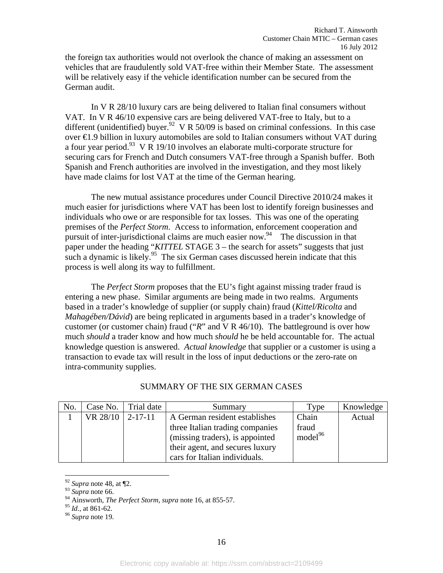the foreign tax authorities would not overlook the chance of making an assessment on vehicles that are fraudulently sold VAT-free within their Member State. The assessment will be relatively easy if the vehicle identification number can be secured from the German audit.

In V R 28/10 luxury cars are being delivered to Italian final consumers without VAT. In V R 46/10 expensive cars are being delivered VAT-free to Italy, but to a different (unidentified) buyer.<sup>92</sup> V R 50/09 is based on criminal confessions. In this case over €1.9 billion in luxury automobiles are sold to Italian consumers without VAT during a four year period.<sup>93</sup> V R 19/10 involves an elaborate multi-corporate structure for securing cars for French and Dutch consumers VAT-free through a Spanish buffer. Both Spanish and French authorities are involved in the investigation, and they most likely have made claims for lost VAT at the time of the German hearing.

The new mutual assistance procedures under Council Directive 2010/24 makes it much easier for jurisdictions where VAT has been lost to identify foreign businesses and individuals who owe or are responsible for tax losses. This was one of the operating premises of the *Perfect Storm*. Access to information, enforcement cooperation and pursuit of inter-jurisdictional claims are much easier now.<sup>94</sup> The discussion in that paper under the heading "*KITTEL* STAGE 3 – the search for assets" suggests that just such a dynamic is likely.<sup>95</sup> The six German cases discussed herein indicate that this process is well along its way to fulfillment.

The *Perfect Storm* proposes that the EU's fight against missing trader fraud is entering a new phase. Similar arguments are being made in two realms. Arguments based in a trader's knowledge of supplier (or supply chain) fraud (*Kittel/Ricolta* and *Mahagében/Dávid*) are being replicated in arguments based in a trader's knowledge of customer (or customer chain) fraud ("*R*" and V R 46/10). The battleground is over how much *should* a trader know and how much *should* he be held accountable for. The actual knowledge question is answered. *Actual knowledge* that supplier or a customer is using a transaction to evade tax will result in the loss of input deductions or the zero-rate on intra-community supplies.

| No. |                      | Case No. Trial date | Summary                         | Type                | Knowledge |
|-----|----------------------|---------------------|---------------------------------|---------------------|-----------|
|     | VR $28/10$   2-17-11 |                     | A German resident establishes   | Chain               | Actual    |
|     |                      |                     | three Italian trading companies | fraud               |           |
|     |                      |                     | (missing traders), is appointed | model <sup>96</sup> |           |
|     |                      |                     | their agent, and secures luxury |                     |           |
|     |                      |                     | cars for Italian individuals.   |                     |           |

## SUMMARY OF THE SIX GERMAN CASES

<sup>92</sup> *Supra* note 48, at ¶2.

<sup>93</sup> *Supra* note 66.

<sup>94</sup> Ainsworth, *The Perfect Storm*, *supra* note 16, at 855-57.<br><sup>95</sup> Id., at 861-62.

<sup>&</sup>lt;sup>96</sup> Supra note 19.